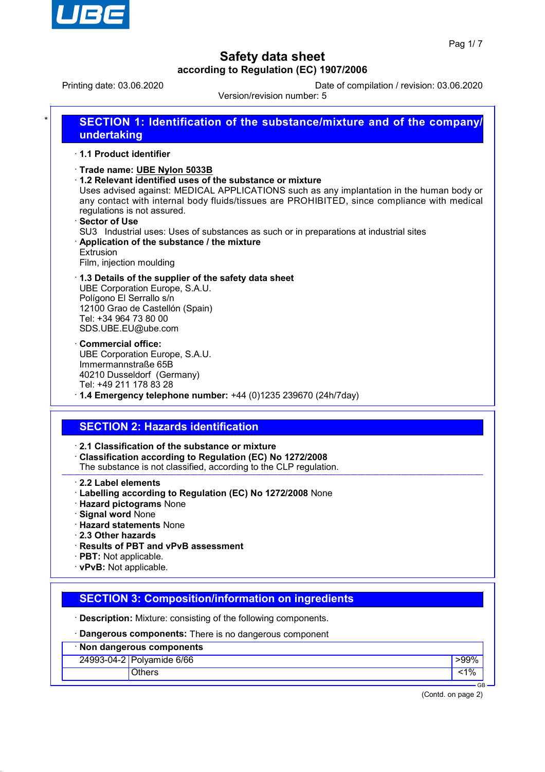

Printing date: 03.06.2020 Date of compilation / revision: 03.06.2020

Version/revision number: 5

| 1.1 Product identifier                                                                                                                                                                                                                                                                                                                                                                                                                                                                                                |
|-----------------------------------------------------------------------------------------------------------------------------------------------------------------------------------------------------------------------------------------------------------------------------------------------------------------------------------------------------------------------------------------------------------------------------------------------------------------------------------------------------------------------|
| Trade name: UBE Nylon 5033B<br>1.2 Relevant identified uses of the substance or mixture<br>Uses advised against: MEDICAL APPLICATIONS such as any implantation in the human body or<br>any contact with internal body fluids/tissues are PROHIBITED, since compliance with medical<br>regulations is not assured.<br>· Sector of Use<br>SU3 Industrial uses: Uses of substances as such or in preparations at industrial sites<br>Application of the substance / the mixture<br>Extrusion<br>Film, injection moulding |
| 1.3 Details of the supplier of the safety data sheet<br>UBE Corporation Europe, S.A.U.<br>Polígono El Serrallo s/n<br>12100 Grao de Castellón (Spain)<br>Tel: +34 964 73 80 00<br>SDS.UBE.EU@ube.com                                                                                                                                                                                                                                                                                                                  |
| <b>Commercial office:</b><br>UBE Corporation Europe, S.A.U.<br>Immermannstraße 65B<br>40210 Dusseldorf (Germany)<br>Tel: +49 211 178 83 28<br>$\cdot$ 1.4 Emergency telephone number: +44 (0)1235 239670 (24h/7day)                                                                                                                                                                                                                                                                                                   |
| <b>SECTION 2: Hazards identification</b>                                                                                                                                                                                                                                                                                                                                                                                                                                                                              |
| $\cdot$ 2.1 Classification of the substance or mixture<br>Classification according to Regulation (EC) No 1272/2008<br>The substance is not classified, according to the CLP regulation.                                                                                                                                                                                                                                                                                                                               |

- · **Hazard pictograms** None
- · **Signal word** None
- · **Hazard statements** None
- · **2.3 Other hazards**
- · **Results of PBT and vPvB assessment**
- · **PBT:** Not applicable.
- · **vPvB:** Not applicable.

# **SECTION 3: Composition/information on ingredients**

· **Description:** Mixture: consisting of the following components.

· **Dangerous components:** There is no dangerous component

| · Non dangerous components |                           |      |  |  |
|----------------------------|---------------------------|------|--|--|
|                            | 24993-04-2 Polyamide 6/66 | >99% |  |  |
|                            | Others                    |      |  |  |
|                            |                           | GF   |  |  |

(Contd. on page 2)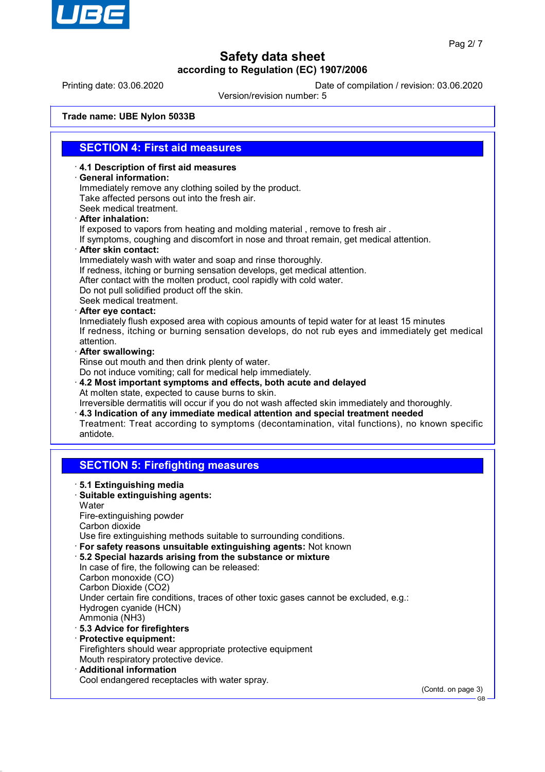

GB

## **Safety data sheet according to Regulation (EC) 1907/2006**

Printing date: 03.06.2020 Date of compilation / revision: 03.06.2020

Version/revision number: 5

**Trade name: UBE Nylon 5033B**

#### **SECTION 4: First aid measures**

· **4.1 Description of first aid measures**

#### · **General information:**

Immediately remove any clothing soiled by the product. Take affected persons out into the fresh air. Seek medical treatment. · **After inhalation:**

If exposed to vapors from heating and molding material , remove to fresh air .

If symptoms, coughing and discomfort in nose and throat remain, get medical attention.

· **After skin contact:**

Immediately wash with water and soap and rinse thoroughly. If redness, itching or burning sensation develops, get medical attention. After contact with the molten product, cool rapidly with cold water.

Do not pull solidified product off the skin. Seek medical treatment.

· **After eye contact:**

Inmediately flush exposed area with copious amounts of tepid water for at least 15 minutes If redness, itching or burning sensation develops, do not rub eyes and immediately get medical attention.

· **After swallowing:**

Rinse out mouth and then drink plenty of water.

Do not induce vomiting; call for medical help immediately.

- · **4.2 Most important symptoms and effects, both acute and delayed** At molten state, expected to cause burns to skin.
- Irreversible dermatitis will occur if you do not wash affected skin immediately and thoroughly. · **4.3 Indication of any immediate medical attention and special treatment needed** Treatment: Treat according to symptoms (decontamination, vital functions), no known specific antidote.

## **SECTION 5: Firefighting measures**

· **5.1 Extinguishing media** · **Suitable extinguishing agents: Water** Fire-extinguishing powder Carbon dioxide Use fire extinguishing methods suitable to surrounding conditions. · **For safety reasons unsuitable extinguishing agents:** Not known · **5.2 Special hazards arising from the substance or mixture** In case of fire, the following can be released: Carbon monoxide (CO) Carbon Dioxide (CO2) Under certain fire conditions, traces of other toxic gases cannot be excluded, e.g.: Hydrogen cyanide (HCN) Ammonia (NH3) · **5.3 Advice for firefighters** · **Protective equipment:** Firefighters should wear appropriate protective equipment Mouth respiratory protective device. · **Additional information** Cool endangered receptacles with water spray. (Contd. on page 3)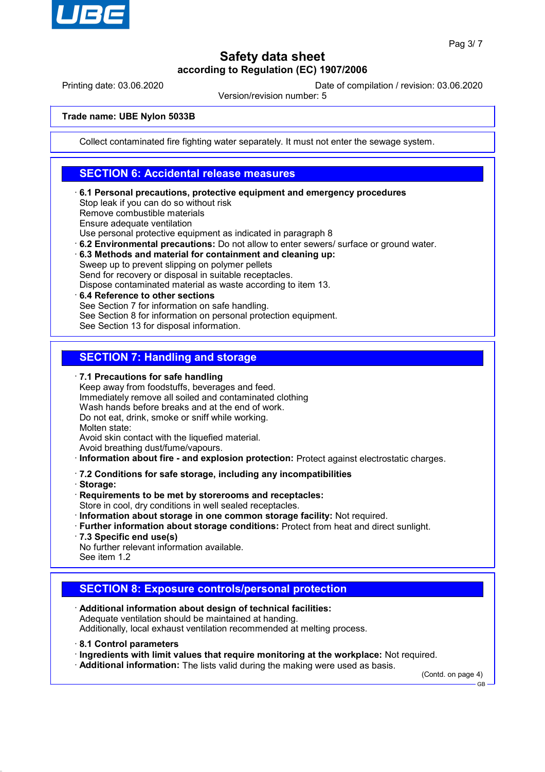

Printing date: 03.06.2020 Date of compilation / revision: 03.06.2020

Version/revision number: 5

#### **Trade name: UBE Nylon 5033B**

Collect contaminated fire fighting water separately. It must not enter the sewage system.

#### **SECTION 6: Accidental release measures**

· **6.1 Personal precautions, protective equipment and emergency procedures** Stop leak if you can do so without risk Remove combustible materials Ensure adequate ventilation Use personal protective equipment as indicated in paragraph 8 · **6.2 Environmental precautions:** Do not allow to enter sewers/ surface or ground water. · **6.3 Methods and material for containment and cleaning up:**

Sweep up to prevent slipping on polymer pellets Send for recovery or disposal in suitable receptacles. Dispose contaminated material as waste according to item 13.

· **6.4 Reference to other sections** See Section 7 for information on safe handling. See Section 8 for information on personal protection equipment. See Section 13 for disposal information.

### **SECTION 7: Handling and storage**

· **7.1 Precautions for safe handling**

Keep away from foodstuffs, beverages and feed. Immediately remove all soiled and contaminated clothing Wash hands before breaks and at the end of work. Do not eat, drink, smoke or sniff while working. Molten state: Avoid skin contact with the liquefied material.

Avoid breathing dust/fume/vapours.

· **Information about fire - and explosion protection:** Protect against electrostatic charges.

- · **7.2 Conditions for safe storage, including any incompatibilities**
- · **Storage:**

· **Requirements to be met by storerooms and receptacles:**

Store in cool, dry conditions in well sealed receptacles.

- · **Information about storage in one common storage facility:** Not required.
- · **Further information about storage conditions:** Protect from heat and direct sunlight.
- · **7.3 Specific end use(s)**

No further relevant information available. See item 1.2

## **SECTION 8: Exposure controls/personal protection**

· **Additional information about design of technical facilities:** Adequate ventilation should be maintained at handing. Additionally, local exhaust ventilation recommended at melting process.

- · **8.1 Control parameters**
- · **Ingredients with limit values that require monitoring at the workplace:** Not required.
- · **Additional information:** The lists valid during the making were used as basis.

(Contd. on page 4)

GB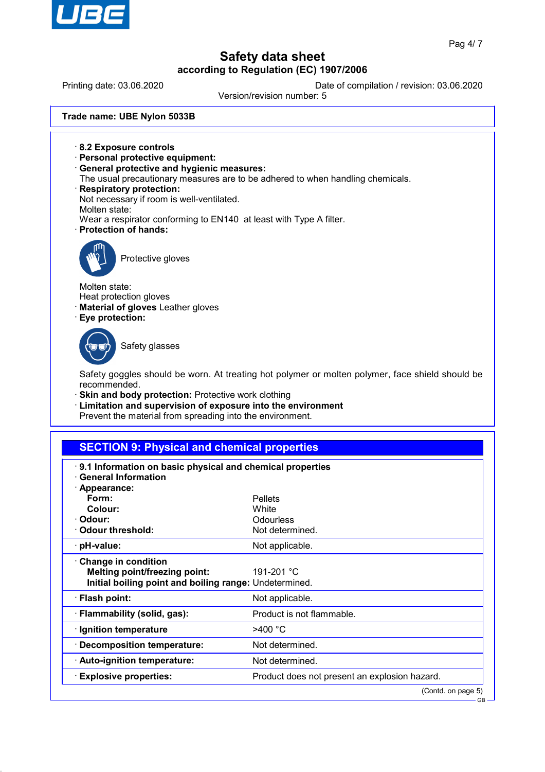

# **Safety data sheet**

**according to Regulation (EC) 1907/2006** Printing date: 03.06.2020 Date of compilation / revision: 03.06.2020 Version/revision number: 5 **Trade name: UBE Nylon 5033B** · **8.2 Exposure controls** · **Personal protective equipment:** · **General protective and hygienic measures:** The usual precautionary measures are to be adhered to when handling chemicals. · **Respiratory protection:** Not necessary if room is well-ventilated. Molten state: Wear a respirator conforming to EN140 at least with Type A filter. · **Protection of hands:** Protective gloves Molten state: Heat protection gloves · **Material of gloves** Leather gloves · **Eye protection:** Safety glasses Safety goggles should be worn. At treating hot polymer or molten polymer, face shield should be recommended. · **Skin and body protection:** Protective work clothing Limitation and supervision of exposure into the environment Prevent the material from spreading into the environment. **SECTION 9: Physical and chemical properties** · **9.1 Information on basic physical and chemical properties** · **General Information** · **Appearance: Form:** Pellets **Colour:** White · **Odour:** Odourless · **Odour threshold:** Not determined. · **pH-value:** Not applicable. · **Change in condition Melting point/freezing point:** 191-201 °C **Initial boiling point and boiling range:** Undetermined. · **Flash point:** Not applicable. · **Flammability (solid, gas):** Product is not flammable. · **Ignition temperature** >400 °C

· **Decomposition temperature:** Not determined. Auto-ignition temperature: Not determined. · **Explosive properties:** Product does not present an explosion hazard.

(Contd. on page 5)

GB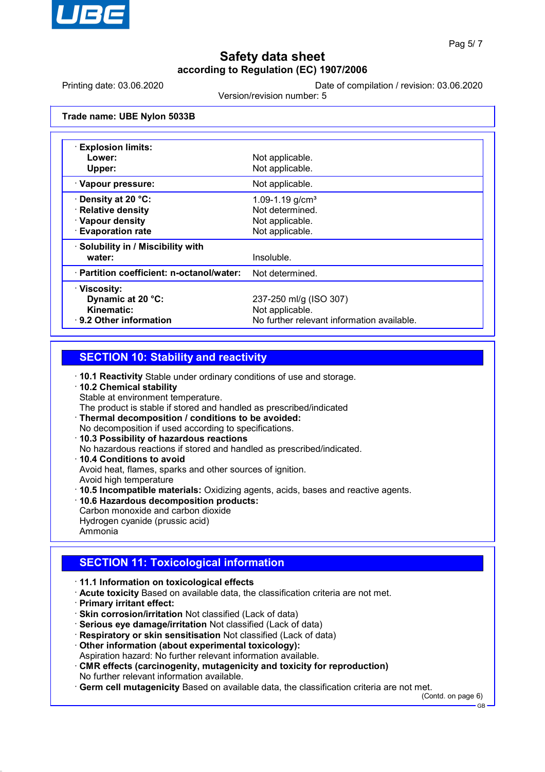

Printing date: 03.06.2020 Date of compilation / revision: 03.06.2020

Version/revision number: 5

**Trade name: UBE Nylon 5033B**

| · Explosion limits:                       |                                            |
|-------------------------------------------|--------------------------------------------|
| Lower:                                    | Not applicable.                            |
| Upper:                                    | Not applicable.                            |
| · Vapour pressure:                        | Not applicable.                            |
| <b>⋅Density at 20 °C:</b>                 | 1.09-1.19 $g/cm3$                          |
| · Relative density                        | Not determined.                            |
| · Vapour density                          | Not applicable.                            |
| <b>Evaporation rate</b>                   | Not applicable.                            |
| · Solubility in / Miscibility with        |                                            |
| water:                                    | Insoluble.                                 |
| · Partition coefficient: n-octanol/water: | Not determined.                            |
| · Viscosity:                              |                                            |
| Dynamic at 20 °C:                         | 237-250 ml/g (ISO 307)                     |
| Kinematic:                                | Not applicable.                            |
| 9.2 Other information                     | No further relevant information available. |

#### **SECTION 10: Stability and reactivity**

- · **10.1 Reactivity** Stable under ordinary conditions of use and storage.
- · **10.2 Chemical stability** Stable at environment temperature. The product is stable if stored and handled as prescribed/indicated · **Thermal decomposition / conditions to be avoided:** No decomposition if used according to specifications.
- · **10.3 Possibility of hazardous reactions**
- No hazardous reactions if stored and handled as prescribed/indicated.
- · **10.4 Conditions to avoid** Avoid heat, flames, sparks and other sources of ignition. Avoid high temperature
- · **10.5 Incompatible materials:** Oxidizing agents, acids, bases and reactive agents.
- · **10.6 Hazardous decomposition products:** Carbon monoxide and carbon dioxide
- Hydrogen cyanide (prussic acid) Ammonia

## **SECTION 11: Toxicological information**

- · **11.1 Information on toxicological effects**
- · **Acute toxicity** Based on available data, the classification criteria are not met.
- · **Primary irritant effect:**
- · **Skin corrosion/irritation** Not classified (Lack of data)
- · **Serious eye damage/irritation** Not classified (Lack of data)
- · **Respiratory or skin sensitisation** Not classified (Lack of data)
- · **Other information (about experimental toxicology):** Aspiration hazard: No further relevant information available.
- · **CMR effects (carcinogenity, mutagenicity and toxicity for reproduction)** No further relevant information available.

· **Germ cell mutagenicity** Based on available data, the classification criteria are not met.

(Contd. on page 6)

GB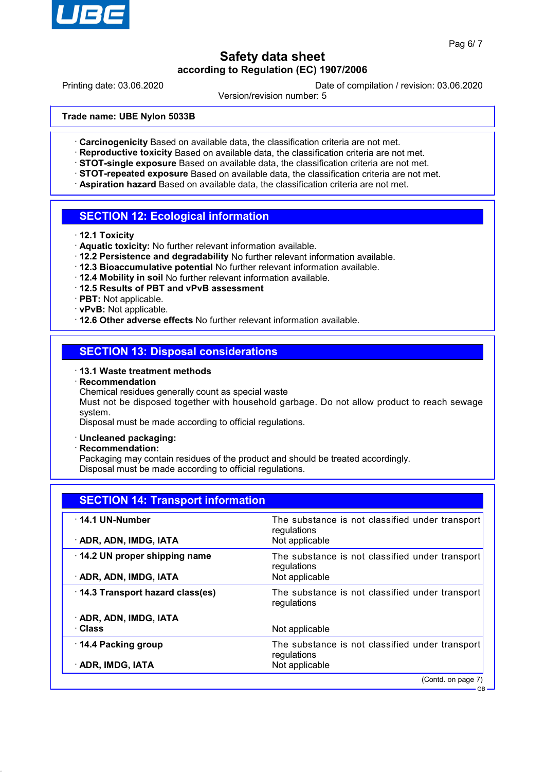

GB

## **Safety data sheet according to Regulation (EC) 1907/2006**

Printing date: 03.06.2020 Date of compilation / revision: 03.06.2020

Version/revision number: 5

**Trade name: UBE Nylon 5033B**

- · **Carcinogenicity** Based on available data, the classification criteria are not met.
- · **Reproductive toxicity** Based on available data, the classification criteria are not met.
- · **STOT-single exposure** Based on available data, the classification criteria are not met.
- · **STOT-repeated exposure** Based on available data, the classification criteria are not met.
- Aspiration hazard Based on available data, the classification criteria are not met.

#### **SECTION 12: Ecological information**

- · **12.1 Toxicity**
- · **Aquatic toxicity:** No further relevant information available.
- · **12.2 Persistence and degradability** No further relevant information available.
- · **12.3 Bioaccumulative potential** No further relevant information available.
- · **12.4 Mobility in soil** No further relevant information available.
- · **12.5 Results of PBT and vPvB assessment**
- · **PBT:** Not applicable.
- · **vPvB:** Not applicable.
- · **12.6 Other adverse effects** No further relevant information available.

## **SECTION 13: Disposal considerations**

#### · **13.1 Waste treatment methods**

- · **Recommendation**
	- Chemical residues generally count as special waste

Must not be disposed together with household garbage. Do not allow product to reach sewage system.

Disposal must be made according to official regulations.

- · **Uncleaned packaging:**
- · **Recommendation:**

Packaging may contain residues of the product and should be treated accordingly. Disposal must be made according to official regulations.

| <b>SECTION 14: Transport information</b> |                                                                |  |  |  |
|------------------------------------------|----------------------------------------------------------------|--|--|--|
| $\cdot$ 14.1 UN-Number                   | The substance is not classified under transport<br>regulations |  |  |  |
| · ADR, ADN, IMDG, IATA                   | Not applicable                                                 |  |  |  |
| $\cdot$ 14.2 UN proper shipping name     | The substance is not classified under transport<br>regulations |  |  |  |
| · ADR, ADN, IMDG, IATA                   | Not applicable                                                 |  |  |  |
| 14.3 Transport hazard class(es)          | The substance is not classified under transport<br>regulations |  |  |  |
| · ADR, ADN, IMDG, IATA                   |                                                                |  |  |  |
| · Class                                  | Not applicable                                                 |  |  |  |
| 14.4 Packing group                       | The substance is not classified under transport<br>regulations |  |  |  |
| · ADR, IMDG, IATA                        | Not applicable                                                 |  |  |  |
|                                          | (Contd. on page 7)                                             |  |  |  |